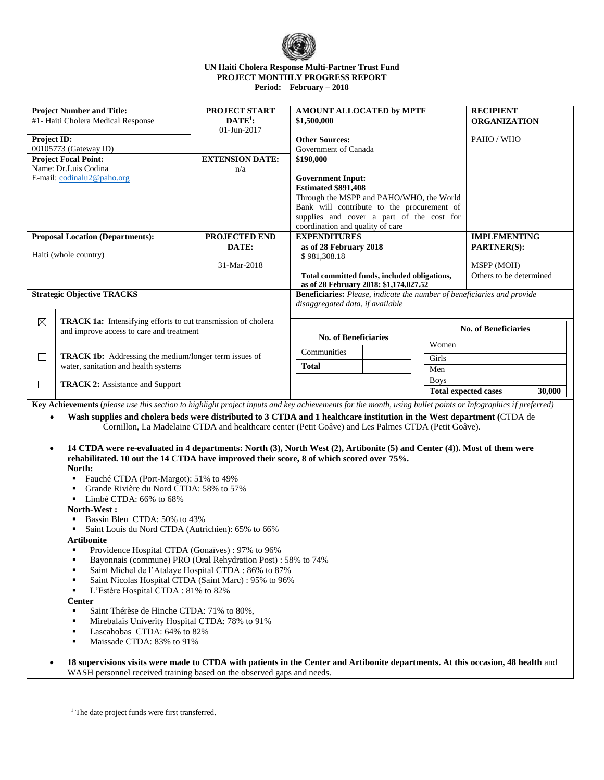

#### **UN Haiti Cholera Response Multi-Partner Trust Fund PROJECT MONTHLY PROGRESS REPORT Period: February – 2018**

| <b>Project Number and Title:</b><br>PROJECT START                         |                                          | AMOUNT ALLOCATED by MPTF                                                |                                              | <b>RECIPIENT</b>            |                             |  |
|---------------------------------------------------------------------------|------------------------------------------|-------------------------------------------------------------------------|----------------------------------------------|-----------------------------|-----------------------------|--|
| #1- Haiti Cholera Medical Response                                        |                                          | $\mathbf{DATA}^{1}$ :                                                   | \$1,500,000                                  |                             | <b>ORGANIZATION</b>         |  |
|                                                                           |                                          | $01 - \text{Jun} - 2017$                                                |                                              |                             |                             |  |
| Project ID:                                                               |                                          | <b>Other Sources:</b>                                                   | PAHO / WHO                                   |                             |                             |  |
|                                                                           | 00105773 (Gateway ID)                    |                                                                         | Government of Canada                         |                             |                             |  |
|                                                                           |                                          | <b>EXTENSION DATE:</b>                                                  |                                              |                             |                             |  |
|                                                                           | <b>Project Focal Point:</b>              |                                                                         | \$190,000                                    |                             |                             |  |
|                                                                           | Name: Dr.Luis Codina                     | n/a                                                                     |                                              |                             |                             |  |
|                                                                           | E-mail: $codinalu2@paho.org$             |                                                                         | <b>Government Input:</b>                     |                             |                             |  |
|                                                                           |                                          |                                                                         | <b>Estimated \$891.408</b>                   |                             |                             |  |
|                                                                           |                                          |                                                                         | Through the MSPP and PAHO/WHO, the World     |                             |                             |  |
|                                                                           |                                          |                                                                         |                                              |                             |                             |  |
|                                                                           |                                          |                                                                         | Bank will contribute to the procurement of   |                             |                             |  |
|                                                                           |                                          |                                                                         | supplies and cover a part of the cost for    |                             |                             |  |
|                                                                           |                                          | coordination and quality of care                                        |                                              |                             |                             |  |
| <b>PROJECTED END</b><br><b>Proposal Location (Departments):</b>           |                                          | <b>EXPENDITURES</b>                                                     |                                              | <b>IMPLEMENTING</b>         |                             |  |
| DATE:                                                                     |                                          | as of 28 February 2018                                                  | <b>PARTNER(S):</b>                           |                             |                             |  |
| Haiti (whole country)                                                     |                                          |                                                                         | \$981,308.18                                 |                             |                             |  |
|                                                                           |                                          | 31-Mar-2018                                                             |                                              |                             | MSPP (MOH)                  |  |
|                                                                           |                                          |                                                                         |                                              |                             |                             |  |
|                                                                           |                                          |                                                                         | Total committed funds, included obligations, | Others to be determined     |                             |  |
|                                                                           |                                          |                                                                         | as of 28 February 2018: \$1,174,027.52       |                             |                             |  |
| <b>Strategic Objective TRACKS</b>                                         |                                          | Beneficiaries: Please, indicate the number of beneficiaries and provide |                                              |                             |                             |  |
|                                                                           |                                          |                                                                         | disaggregated data, if available             |                             |                             |  |
|                                                                           |                                          |                                                                         |                                              |                             |                             |  |
| ⊠<br><b>TRACK 1a:</b> Intensifying efforts to cut transmission of cholera |                                          |                                                                         |                                              |                             |                             |  |
|                                                                           | and improve access to care and treatment |                                                                         |                                              |                             | <b>No. of Beneficiaries</b> |  |
|                                                                           |                                          |                                                                         | <b>No. of Beneficiaries</b>                  |                             |                             |  |
|                                                                           |                                          | Women                                                                   |                                              |                             |                             |  |
| <b>TRACK 1b:</b> Addressing the medium/longer term issues of<br>$\Box$    |                                          | Communities                                                             |                                              |                             |                             |  |
|                                                                           |                                          | Girls                                                                   |                                              |                             |                             |  |
|                                                                           | water, sanitation and health systems     |                                                                         | <b>Total</b><br>Men                          |                             |                             |  |
|                                                                           |                                          | <b>Boys</b>                                                             |                                              |                             |                             |  |
| $\Box$                                                                    | <b>TRACK 2:</b> Assistance and Support   |                                                                         |                                              | <b>Total expected cases</b> | 30,000                      |  |
|                                                                           |                                          |                                                                         |                                              |                             |                             |  |

**Key Achievements** (*please use this section to highlight project inputs and key achievements for the month, using bullet points or Infographics if preferred)*

 **Wash supplies and cholera beds were distributed to 3 CTDA and 1 healthcare institution in the West department (**CTDA de Cornillon, La Madelaine CTDA and healthcare center (Petit Goâve) and Les Palmes CTDA (Petit Goâve).

- **14 CTDA were re-evaluated in 4 departments: North (3), North West (2), Artibonite (5) and Center (4)). Most of them were rehabilitated. 10 out the 14 CTDA have improved their score, 8 of which scored over 75%. North:**
	- Fauché CTDA (Port-Margot): 51% to 49%
	- Grande Rivière du Nord CTDA: 58% to 57%
	- Limbé CTDA: 66% to 68%

**North-West :**

- Bassin Bleu CTDA: 50% to 43%
- Saint Louis du Nord CTDA (Autrichien): 65% to 66%

## **Artibonite**

- Providence Hospital CTDA (Gonaïves) : 97% to 96%
- Bayonnais (commune) PRO (Oral Rehydration Post) : 58% to 74%
- Saint Michel de l'Atalaye Hospital CTDA : 86% to 87%
- Saint Nicolas Hospital CTDA (Saint Marc) : 95% to 96%
- L'Estère Hospital CTDA : 81% to 82%

## **Center**

- Saint Thérèse de Hinche CTDA: 71% to 80%,
- Mirebalais Univerity Hospital CTDA: 78% to 91%
- Lascahobas CTDA: 64% to 82%
- Maissade CTDA: 83% to 91%
- **18 supervisions visits were made to CTDA with patients in the Center and Artibonite departments. At this occasion, 48 health** and WASH personnel received training based on the observed gaps and needs.

j <sup>1</sup> The date project funds were first transferred.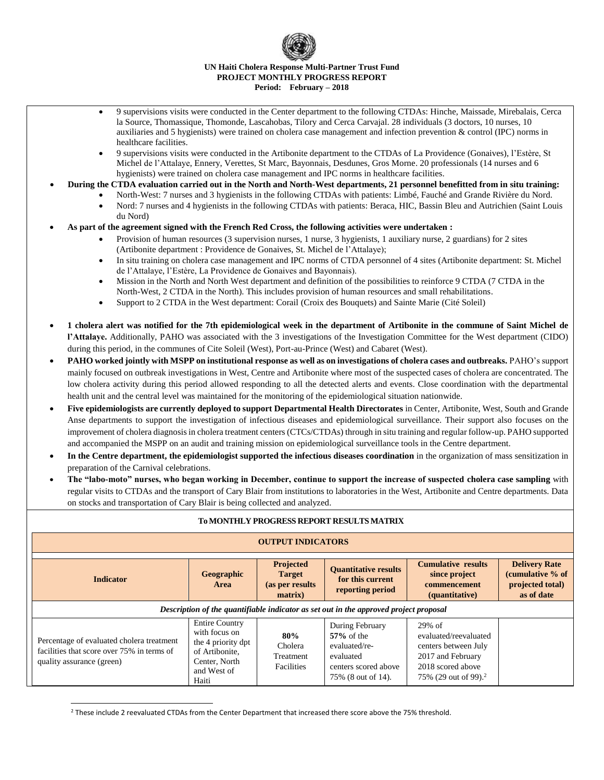# **UN Haiti Cholera Response Multi-Partner Trust Fund PROJECT MONTHLY PROGRESS REPORT Period: February – 2018**

- 9 supervisions visits were conducted in the Center department to the following CTDAs: Hinche, Maissade, Mirebalais, Cerca la Source, Thomassique, Thomonde, Lascahobas, Tilory and Cerca Carvajal. 28 individuals (3 doctors, 10 nurses, 10 auxiliaries and 5 hygienists) were trained on cholera case management and infection prevention & control (IPC) norms in healthcare facilities.
- 9 supervisions visits were conducted in the Artibonite department to the CTDAs of La Providence (Gonaives), l'Estère, St Michel de l'Attalaye, Ennery, Verettes, St Marc, Bayonnais, Desdunes, Gros Morne. 20 professionals (14 nurses and 6 hygienists) were trained on cholera case management and IPC norms in healthcare facilities.
- **During the CTDA evaluation carried out in the North and North-West departments, 21 personnel benefitted from in situ training:**
	- North-West: 7 nurses and 3 hygienists in the following CTDAs with patients: Limbé, Fauché and Grande Rivière du Nord.
	- Nord: 7 nurses and 4 hygienists in the following CTDAs with patients: Beraca, HIC, Bassin Bleu and Autrichien (Saint Louis du Nord)
- **As part of the agreement signed with the French Red Cross, the following activities were undertaken :**
	- Provision of human resources (3 supervision nurses, 1 nurse, 3 hygienists, 1 auxiliary nurse, 2 guardians) for 2 sites (Artibonite department : Providence de Gonaives, St. Michel de l'Attalaye);
	- In situ training on cholera case management and IPC norms of CTDA personnel of 4 sites (Artibonite department: St. Michel de l'Attalaye, l'Estère, La Providence de Gonaives and Bayonnais).
	- Mission in the North and North West department and definition of the possibilities to reinforce 9 CTDA (7 CTDA in the North-West, 2 CTDA in the North). This includes provision of human resources and small rehabilitations.
	- Support to 2 CTDA in the West department: Corail (Croix des Bouquets) and Sainte Marie (Cité Soleil)
- **1 cholera alert was notified for the 7th epidemiological week in the department of Artibonite in the commune of Saint Michel de l'Attalaye.** Additionally, PAHO was associated with the 3 investigations of the Investigation Committee for the West department (CIDO) during this period, in the communes of Cite Soleil (West), Port-au-Prince (West) and Cabaret (West).
- **PAHO worked jointly with MSPP on institutional response as well as on investigations of cholera cases and outbreaks.** PAHO's support mainly focused on outbreak investigations in West, Centre and Artibonite where most of the suspected cases of cholera are concentrated. The low cholera activity during this period allowed responding to all the detected alerts and events. Close coordination with the departmental health unit and the central level was maintained for the monitoring of the epidemiological situation nationwide.
- **Five epidemiologists are currently deployed to support Departmental Health Directorates** in Center, Artibonite, West, South and Grande Anse departments to support the investigation of infectious diseases and epidemiological surveillance. Their support also focuses on the improvement of cholera diagnosis in cholera treatment centers (CTCs/CTDAs) through in situ training and regular follow-up. PAHO supported and accompanied the MSPP on an audit and training mission on epidemiological surveillance tools in the Centre department.
- **In the Centre department, the epidemiologist supported the infectious diseases coordination** in the organization of mass sensitization in preparation of the Carnival celebrations.
- **The "labo-moto" nurses, who began working in December, continue to support the increase of suspected cholera case sampling** with regular visits to CTDAs and the transport of Cary Blair from institutions to laboratories in the West, Artibonite and Centre departments. Data on stocks and transportation of Cary Blair is being collected and analyzed.

| To MONTHLY PROGRESS REPORT RESULTS MATRIX                                                                            |                                                                                                                         |                                                           |                                                                                                              |                                                                                                                                       |                                                                            |  |  |  |  |  |
|----------------------------------------------------------------------------------------------------------------------|-------------------------------------------------------------------------------------------------------------------------|-----------------------------------------------------------|--------------------------------------------------------------------------------------------------------------|---------------------------------------------------------------------------------------------------------------------------------------|----------------------------------------------------------------------------|--|--|--|--|--|
| <b>OUTPUT INDICATORS</b>                                                                                             |                                                                                                                         |                                                           |                                                                                                              |                                                                                                                                       |                                                                            |  |  |  |  |  |
| Geographic<br><b>Indicator</b><br>Area                                                                               |                                                                                                                         | Projected<br><b>Target</b><br>(as per results)<br>matrix) | <b>Quantitative results</b><br>for this current<br>reporting period                                          | <b>Cumulative results</b><br>since project<br>commencement<br>(quantitative)                                                          | <b>Delivery Rate</b><br>(cumulative % of<br>projected total)<br>as of date |  |  |  |  |  |
| Description of the quantifiable indicator as set out in the approved project proposal                                |                                                                                                                         |                                                           |                                                                                                              |                                                                                                                                       |                                                                            |  |  |  |  |  |
| Percentage of evaluated cholera treatment<br>facilities that score over 75% in terms of<br>quality assurance (green) | <b>Entire Country</b><br>with focus on<br>the 4 priority dpt<br>of Artibonite.<br>Center, North<br>and West of<br>Haiti | 80%<br>Cholera<br>Treatment<br>Facilities                 | During February<br>$57\%$ of the<br>evaluated/re-<br>evaluated<br>centers scored above<br>75% (8 out of 14). | 29% of<br>evaluated/reevaluated<br>centers between July<br>2017 and February<br>2018 scored above<br>75% (29 out of 99). <sup>2</sup> |                                                                            |  |  |  |  |  |

 $\overline{a}$ <sup>2</sup> These include 2 reevaluated CTDAs from the Center Department that increased there score above the 75% threshold.